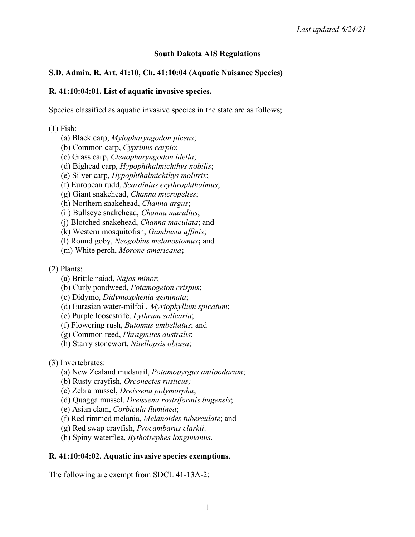## **South Dakota AIS Regulations**

# **S.D. Admin. R. Art. 41:10, Ch. 41:10:04 (Aquatic Nuisance Species)**

#### **R. 41:10:04:01. List of aquatic invasive species.**

Species classified as aquatic invasive species in the state are as follows;

(1) Fish:

- (a) Black carp, *Mylopharyngodon piceus*;
- (b) Common carp, *Cyprinus carpio*;
- (c) Grass carp, *Ctenopharyngodon idella*;
- (d) Bighead carp, *Hypophthalmichthys nobilis*;
- (e) Silver carp, *Hypophthalmichthys molitrix*;
- (f) European rudd, *Scardinius erythrophthalmus*;
- (g) Giant snakehead, *Channa micropeltes*;
- (h) Northern snakehead, *Channa argus*;
- (i ) Bullseye snakehead, *Channa marulius*;
- (j) Blotched snakehead, *Channa maculata*; and
- (k) Western mosquitofish, *Gambusia affinis*;
- (l) Round goby, *Neogobius melanostomus***;** and
- (m) White perch, *Morone americana***;**
- (2) Plants:
	- (a) Brittle naiad, *Najas minor*;
	- (b) Curly pondweed, *Potamogeton crispus*;
	- (c) Didymo, *Didymosphenia geminata*;
	- (d) Eurasian water-milfoil, *Myriophyllum spicatum*;
	- (e) Purple loosestrife, *Lythrum salicaria*;
	- (f) Flowering rush, *Butomus umbellatus*; and
	- (g) Common reed, *Phragmites australis*;
	- (h) Starry stonewort, *Nitellopsis obtusa*;

(3) Invertebrates:

- (a) New Zealand mudsnail, *Potamopyrgus antipodarum*;
- (b) Rusty crayfish, *Orconectes rusticus;*
- (c) Zebra mussel, *Dreissena polymorpha*;
- (d) Quagga mussel, *Dreissena rostriformis bugensis*;
- (e) Asian clam, *Corbicula fluminea*;
- (f) Red rimmed melania, *Melanoides tuberculate*; and
- (g) Red swap crayfish, *Procambarus clarkii*.
- (h) Spiny waterflea, *Bythotrephes longimanus*.

## **R. 41:10:04:02. Aquatic invasive species exemptions.**

The following are exempt from SDCL 41-13A-2: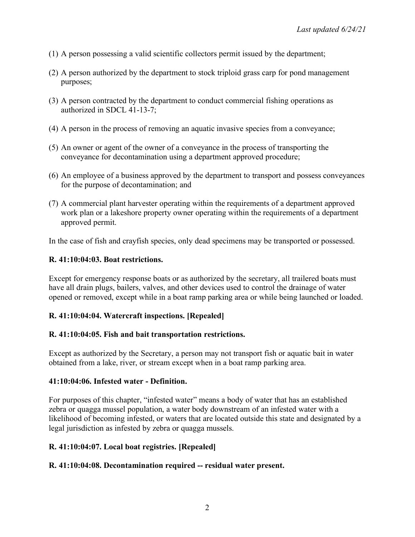- (1) A person possessing a valid scientific collectors permit issued by the department;
- (2) A person authorized by the department to stock triploid grass carp for pond management purposes;
- (3) A person contracted by the department to conduct commercial fishing operations as authorized in SDCL 41-13-7;
- (4) A person in the process of removing an aquatic invasive species from a conveyance;
- (5) An owner or agent of the owner of a conveyance in the process of transporting the conveyance for decontamination using a department approved procedure;
- (6) An employee of a business approved by the department to transport and possess conveyances for the purpose of decontamination; and
- (7) A commercial plant harvester operating within the requirements of a department approved work plan or a lakeshore property owner operating within the requirements of a department approved permit.

In the case of fish and crayfish species, only dead specimens may be transported or possessed.

## **R. 41:10:04:03. Boat restrictions.**

Except for emergency response boats or as authorized by the secretary, all trailered boats must have all drain plugs, bailers, valves, and other devices used to control the drainage of water opened or removed, except while in a boat ramp parking area or while being launched or loaded.

## **R. 41:10:04:04. Watercraft inspections. [Repealed]**

## **R. 41:10:04:05. Fish and bait transportation restrictions.**

Except as authorized by the Secretary, a person may not transport fish or aquatic bait in water obtained from a lake, river, or stream except when in a boat ramp parking area.

#### **41:10:04:06. Infested water - Definition.**

For purposes of this chapter, "infested water" means a body of water that has an established zebra or quagga mussel population, a water body downstream of an infested water with a likelihood of becoming infested, or waters that are located outside this state and designated by a legal jurisdiction as infested by zebra or quagga mussels.

## **R. 41:10:04:07. Local boat registries. [Repealed]**

## **R. 41:10:04:08. Decontamination required -- residual water present.**